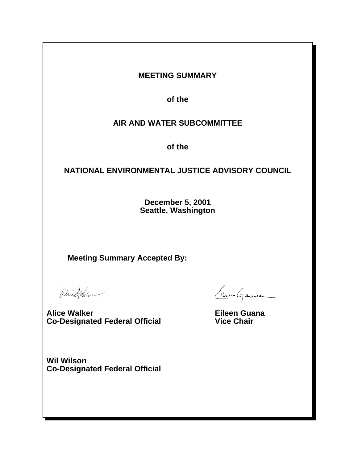## **MEETING SUMMARY**

**of the**

# **AIR AND WATER SUBCOMMITTEE**

**of the**

## **NATIONAL ENVIRONMENTAL JUSTICE ADVISORY COUNCIL**

**December 5, 2001 Seattle, Washington**

**Meeting Summary Accepted By:** 

aliestale

**Alice Walker Co-Designated Federal Official** 

Eilen Gauna

**Eileen Guana Vice Chair** 

**Wil Wilson Co-Designated Federal Official**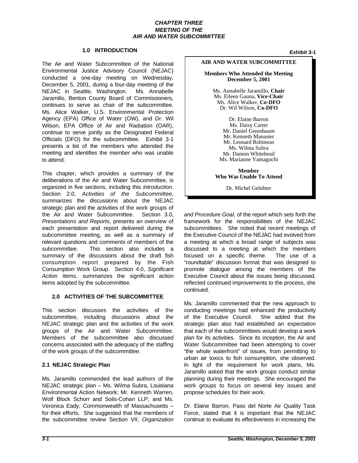#### *CHAPTER THREE MEETING OF THE AIR AND WATER SUBCOMMITTEE*

## **1.0 INTRODUCTION Exhibit 3-1**

 The Air and Water Subcommittee of the National Environmental Justice Advisory Council (NEJAC) conducted a one-day meeting on Wednesday, December 5, 2001, during a four-day meeting of the NEJAC in Seattle, Washington. Ms. Annabelle Jaramillo, Benton County Board of Commissioners, Ms. Alice Walker, U.S. Environmental Protection Wilson, EPA Office of Air and Radiation (OAR), continue to serve jointly as the Designated Federal presents a list of the members who attended the continues to serve as chair of the subcommittee. Agency (EPA) Office of Water (OW), and Dr. Wil Officials (DFO) for the subcommittee. Exhibit 3-1 meeting and identifies the member who was unable to attend.

 This chapter, which provides a summary of the deliberations of the Air and Water Subcommittee, is organized in five sections, including this *Introduction*. Section 2.0, *Activities of the Subcommittee*, summarizes the discussions about the NEJAC strategic plan and the activities of the work groups of  *Presentations and Reports*, presents an overview of each presentation and report delivered during the relevant questions and comments of members of the summary of the discussions about the draft fish Consumption Work Group. Section 4.0, *Significant*  the Air and Water Subcommittee. Section 3.0, subcommittee meeting, as well as a summary of subcommittee. This section also includes a consumption report prepared by the Fish *Action Items*, summarizes the significant action items adopted by the subcommittee.

#### **2.0 ACTIVITIES OF THE SUBCOMMITTEE**

 This section discusses the activities of the NEJAC strategic plan and the activities of the work Members of the subcommittee also discussed concerns associated with the adequacy of the staffing subcommittee, including discussions about the groups of the Air and Water Subcommittee. of the work groups of the subcommittee.

#### **2.1 NEJAC Strategic Plan**

 NEJAC strategic plan – Ms. Wilma Subra, Louisiana Environmental Action Network; Mr. Kenneth Warren, Wolf Block Schorr and Solis-Cohan LLP; and Ms. Veronica Eady, Commonwealth of Massachusetts – for their efforts. She suggested that the members of Ms. Jaramillo commended the lead authors of the the subcommittee review Section VII, *Organization* 

#### **AIR AND WATER SUBCOMMITTEE**

**Members Who Attended the Meeting December 5, 2001**

Ms. Annabelle Jaramillo, **Chair** Ms. Eileen Gauna, **Vice-Chair** Ms. Alice Walker, **Co-DFO** Dr. Wil Wilson, **Co-DFO**

Dr. Elaine Barron Ms. Daisy Carter Mr. Daniel Greenbaum Mr. Kenneth Manaster Mr. Leonard Robinson Ms. Wilma Subra Mr. Damon Whitehead Ms. Marianne Yamaguchi

**Member Who Was Unable To Attend**

Dr. Michel Gelobter

 framework for the responsibilities of the NEJAC a meeting at which a broad range of subjects was focused on a specific theme. The use of a "roundtable" discussion format that was designed to promote dialogue among the members of the Executive Council about the issues being discussed, *and Procedure Goal*, of the report which sets forth the subcommittees. She noted that recent meetings of the Executive Council of the NEJAC had evolved from discussed to a meeting at which the members<br>focused on a specific theme. The use of a reflected continued improvements to the process, she continued.

 Ms. Jaramillo commented that the new approach to conducting meetings had enhanced the productivity of the Executive Council. She added that the strategic plan also had established an expectation that each of the subcommittees would develop a work plan for its activities. Since its inception, the Air and "the whole waterfront" of issues, from permitting to In light of the requirement for work plans, Ms. Jaramillo asked that the work groups conduct similar work groups to focus on several key issues and Water Subcommittee had been attempting to cover urban air toxics to fish consumption, she observed. planning during their meetings. She encouraged the propose schedules for their work.

 Dr. Elaine Barron, Paso del Norte Air Quality Task Force, stated that it is important that the NEJAC continue to evaluate its effectiveness in increasing the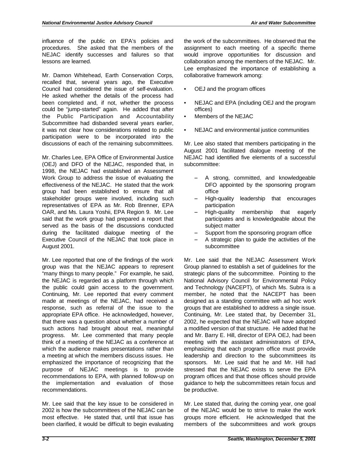influence of the public on EPA's policies and NEJAC identify successes and failures so that procedures. She asked that the members of the lessons are learned.

 Mr. Damon Whitehead, Earth Conservation Corps, recalled that, several years ago, the Executive Council had considered the issue of self-evaluation. He asked whether the details of the process had been completed and, if not, whether the process could be "jump-started" again. He added that after it was not clear how considerations related to public the Public Participation and Accountability Subcommittee had disbanded several years earlier, participation were to be incorporated into the discussions of each of the remaining subcommittees.

 Mr. Charles Lee, EPA Office of Environmental Justice (OEJ) and DFO of the NEJAC, responded that, in Work Group to address the issue of evaluating the effectiveness of the NEJAC. He stated that the work group had been established to ensure that all stakeholder groups were involved, including such representatives of EPA as Mr. Rob Brenner, EPA OAR, and Ms. Laura Yoshii, EPA Region 9. Mr. Lee said that the work group had prepared a report that served as the basis of the discussions conducted during the facilitated dialogue meeting of the 1998, the NEJAC had established an Assessment Executive Council of the NEJAC that took place in August 2001.

 Mr. Lee reported that one of the findings of the work group was that the NEJAC appears to represent "many things to many people." For example, he said, the public could gain access to the government. made at meetings of the NEJAC, had received a response, such as referral of the issue to the such actions had brought about real, meaningful the NEJAC is regarded as a platform through which Continuing, Mr. Lee reported that every comment appropriate EPA office. He acknowledged, however, that there was a question about whether a number of progress. Mr. Lee commented that many people think of a meeting of the NEJAC as a conference at which the audience makes presentations rather than a meeting at which the members discuss issues. He emphasized the importance of recognizing that the purpose of NEJAC meetings is to provide recommendations to EPA, with planned follow-up on the implementation and evaluation of those recommendations.

 Mr. Lee said that the key issue to be considered in 2002 is how the subcommittees of the NEJAC can be been clarified, it would be difficult to begin evaluating most effective. He stated that, until that issue has

 the work of the subcommittees. He observed that the Lee emphasized the importance of establishing a assignment to each meeting of a specific theme would improve opportunities for discussion and collaboration among the members of the NEJAC. Mr. collaborative framework among:

- • OEJ and the program offices
- • NEJAC and EPA (including OEJ and the program offices)
- • Members of the NEJAC
- NEJAC and environmental justice communities

 Mr. Lee also stated that members participating in the NEJAC had identified five elements of a successful August 2001 facilitated dialogue meeting of the subcommittee:

- A strong, committed, and knowledgeable DFO appointed by the sponsoring program office
- High-quality leadership that encourages participation
- participates and is knowledgeable about the - High-quality membership that eagerly subject matter
- $-$  Support from the sponsoring program office
- $-$  A strategic plan to guide the activities of the subcommittee

 Mr. Lee said that the NEJAC Assessment Work Group planned to establish a set of guidelines for the strategic plans of the subcommittee. Pointing to the National Advisory Council for Environmental Policy member, he noted that the NACEPT has been designed as a standing committee with ad hoc work Continuing, Mr. Lee stated that, by December 31, 2002, he expected that the NEJAC will have adopted a modified version of that structure. He added that he and Mr. Barry E. Hill, director of EPA OEJ, had been meeting with the assistant administrators of EPA, emphasizing that each program office must provide leadership and direction to the subcommittees its program offices and that those offices should provide guidance to help the subcommittees retain focus and and Technology (NACEPT), of which Ms. Subra is a groups that are established to address a single issue. sponsors. Mr. Lee said that he and Mr. Hill had stressed that the NEJAC exists to serve the EPA be productive.

 Mr. Lee stated that, during the coming year, one goal of the NEJAC would be to strive to make the work groups more efficient. He acknowledged that the members of the subcommittees and work groups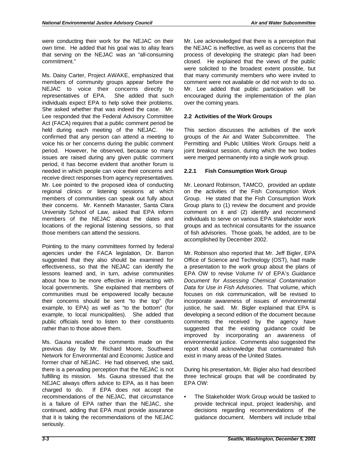were conducting their work for the NEJAC on their that serving on the NEJAC was an "all-consuming own time. He added that his goal was to allay fears commitment."

 Ms. Daisy Carter, Project AWAKE, emphasized that members of community groups appear before the representatives of EPA. She added that such individuals expect EPA to help solve their problems. She asked whether that was indeed the case. Mr. Lee responded that the Federal Advisory Committee Act (FACA) requires that a public comment period be held during each meeting of the NEJAC. He voice his or her concerns during the public comment issues are raised during any given public comment receive direct responses from agency representatives. Mr. Lee pointed to the proposed idea of conducting regional clinics or listening sessions at which University School of Law, asked that EPA inform members of the NEJAC about the dates and locations of the regional listening sessions, so that NEJAC to voice their concerns directly to confirmed that any person can attend a meeting to period. However, he observed, because so many period, it has become evident that another forum is needed in which people can voice their concerns and members of communities can speak out fully about their concerns. Mr. Kenneth Manaster, Santa Clara those members can attend the sessions.

 agencies under the FACA legislation, Dr. Barron suggested that they also should be examined for about how to be more effective in interacting with communities must be empowered locally because example, to EPA) as well as "to the bottom" (for Pointing to the many committees formed by federal effectiveness, so that the NEJAC can identify the lessons learned and, in turn, advise communities local governments. She explained that members of their concerns should be sent "to the top" (for example, to local municipalities). She added that public officials tend to listen to their constituents rather than to those above them.

 previous day by Mr. Richard Moore, Southwest Network for Environmental and Economic Justice and former chair of NEJAC. He had observed, she said, there is a pervading perception that the NEJAC is not fulfilling its mission. Ms. Gauna stressed that the charged to do. If EPA does not accept the recommendations of the NEJAC, that circumstance is a failure of EPA rather than the NEJAC, she continued, adding that EPA must provide assurance that it is taking the recommendations of the NEJAC Ms. Gauna recalled the comments made on the NEJAC always offers advice to EPA, as it has been seriously.

 Mr. Lee acknowledged that there is a perception that the NEJAC is ineffective, as well as concerns that the were solicited to the broadest extent possible, but that many community members who were invited to comment were not available or did not wish to do so. Mr. Lee added that public participation will be encouraged during the implementation of the plan process of developing the strategic plan had been closed. He explained that the views of the public over the coming years.

## **2.2 Activities of the Work Groups**

 Permitting and Public Utilities Work Groups held a This section discusses the activities of the work groups of the Air and Water Subcommittee. The joint breakout session, during which the two bodies were merged permanently into a single work group.

## **2.2.1 Fish Consumption Work Group**

 on the activities of the Fish Consumption Work Group plans to (1) review the document and provide comment on it and (2) identify and recommend individuals to serve on various EPA stakeholder work groups and as technical consultants for the issuance of fish advisories. Those goals, he added, are to be Mr. Leonard Robinson, TAMCO, provided an update Group. He stated that the Fish Consumption Work accomplished by December 2002.

 Office of Science and Technology (OST), had made a presentation to the work group about the plans of EPA OW to revise Volume IV of EPA's *Guidance Document for Assessing Chemical Contamination Data for Use in Fish Advisories*. That volume, which focuses on risk communication, will be revised to comments the received by the agency have suggested that the existing guidance could be report should acknowledge that contaminated fish Mr. Robinson also reported that Mr. Jeff Bigler, EPA incorporate awareness of issues of environmental justice, he said. Mr. Bigler explained that EPA is developing a second edition of the document because improved by incorporating an awareness of environmental justice. Comments also suggested the exist in many areas of the United States.

 During his presentation, Mr. Bigler also had described three technical groups that will be coordinated by EPA OW:

 decisions regarding recommendations of the The Stakeholder Work Group would be tasked to provide technical input, project leadership, and guidance document. Members will include tribal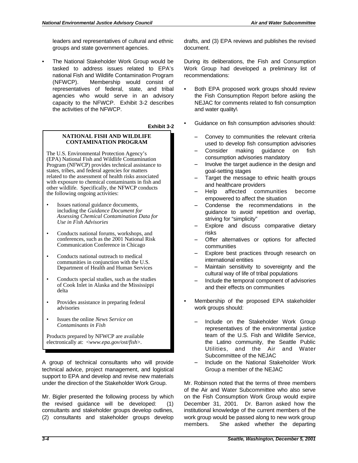leaders and representatives of cultural and ethnic groups and state government agencies.

 tasked to address issues related to EPA's national Fish and Wildlife Contamination Program representatives of federal, state, and tribal agencies who would serve in an advisory The National Stakeholder Work Group would be (NFWCP). Membership would consist of capacity to the NFWCP. Exhibit 3-2 describes the activities of the NFWCP.

#### **Exhibit 3-2**

#### **NATIONAL FISH AND WILDLIFE CONTAMINATION PROGRAM**

The U.S. Environmental Protection Agency's (EPA) National Fish and Wildlife Contamination Program (NFWCP) provides technical assistance to states, tribes, and federal agencies for matters related to the assessment of health risks associated with exposure to chemical contaminants in fish and other wildlife. Specifically, the NFWCP conducts the following ongoing activities:

- Issues national guidance documents, including the *Guidance Document for Assessing Chemical Contamination Data for Use in Fish Advisories*
- Conducts national forums, workshops, and conferences, such as the 2001 National Risk Communication Conference in Chicago
- Conducts national outreach to medical communities in conjunction with the U.S. Department of Health and Human Services
- Conducts special studies, such as the studies of Cook Inlet in Alaska and the Mississippi delta
- Provides assistance in preparing federal advisories
- • Issues the online *News Service on Contaminants in Fish*

Products prepared by NFWCP are available electronically at: <*www.epa.gov/ost/fish*>.

 A group of technical consultants who will provide technical advice, project management, and logistical support to EPA and develop and revise new materials under the direction of the Stakeholder Work Group.

 Mr. Bigler presented the following process by which the revised guidance will be developed: (1) consultants and stakeholder groups develop outlines, (2) consultants and stakeholder groups develop

 drafts, and (3) EPA reviews and publishes the revised document.

 During its deliberations, the Fish and Consumption Work Group had developed a preliminary list of recommendations:

- • Both EPA proposed work groups should review the Fish Consumption Report before asking the NEJAC for comments related to fish consumption and water quality\
- • Guidance on fish consumption advisories should:
	- Convey to communities the relevant criteria used to develop fish consumption advisories
	- Consider making guidance on fish consumption advisories mandatory
	- Involve the target audience in the design and goal-setting stages
	- Target the message to ethnic health groups and healthcare providers
	- Help affected communities become empowered to affect the situation
	- Condense the recommendations in the guidance to avoid repetition and overlap, striving for "simplicity"
	- Explore and discuss comparative dietary risks
	- Offer alternatives or options for affected communities
	- Explore best practices through research on international entities
	- Maintain sensitivity to sovereignty and the cultural way of life of tribal populations
	- Include the temporal component of advisories and their effects on communities
- • Membership of the proposed EPA stakeholder work groups should:
	- Include on the Stakeholder Work Group representatives of the environmental justice team of the U.S. Fish and Wildlife Service, the Latino community, the Seattle Public Utilities, and the Air and Water Subcommittee of the NEJAC
	- Include on the National Stakeholder Work Group a member of the NEJAC

 Mr. Robinson noted that the terms of three members of the Air and Water Subcommittee who also serve on the Fish Consumption Work Group would expire December 31, 2001. Dr. Barron asked how the institutional knowledge of the current members of the work group would be passed along to new work group members. She asked whether the departing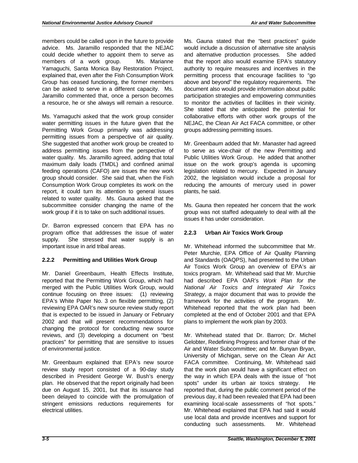members could be called upon in the future to provide could decide whether to appoint them to serve as members of a work group. Ms. Marianne Yamaguchi, Santa Monica Bay Restoration Project, explained that, even after the Fish Consumption Work Group has ceased functioning, the former members can be asked to serve in a different capacity. Ms. a resource, he or she always will remain a resource. advice. Ms. Jaramillo responded that the NEJAC Jaramillo commented that, once a person becomes

 Ms. Yamaguchi asked that the work group consider permitting issues from a perspective of air quality. maximum daily loads (TMDL) and confined animal group should consider. She said that, when the Fish report, it could turn its attention to general issues subcommittee consider changing the name of the water permitting issues in the future given that the Permitting Work Group primarily was addressing She suggested that another work group be created to address permitting issues from the perspective of water quality. Ms. Jaramillo agreed, adding that total feeding operations (CAFO) are issues the new work Consumption Work Group completes its work on the related to water quality. Ms. Gauna asked that the work group if it is to take on such additional issues.

 Dr. Barron expressed concern that EPA has no program office that addresses the issue of water supply. She stressed that water supply is an important issue in arid tribal areas.

## **2.2.2 Permitting and Utilities Work Group**

 Mr. Daniel Greenbaum, Health Effects Institute, continue focusing on three issues: (1) reviewing reviewing EPA OAR's new source review study report that is expected to be issued in January or February 2002 and that will present recommendations for changing the protocol for conducting new source reviews, and (3) developing a document on "best reported that the Permitting Work Group, which had merged with the Public Utilities Work Group, would EPA's White Paper No. 3 on flexible permitting, (2) practices" for permitting that are sensitive to issues of environmental justice.

 Mr. Greenbaum explained that EPA's new source review study report consisted of a 90-day study due on August 15, 2001, but that its issuance had been delayed to coincide with the promulgation of described in President George W. Bush's energy plan. He observed that the report originally had been stringent emissions reductions requirements for electrical utilities.

 Ms. Gauna stated that the "best practices" guide would include a discussion of alternative site analysis and alternative production processes. She added that the report also would examine EPA's statutory authority to require measures and incentives in the permitting process that encourage facilities to "go above and beyond" the regulatory requirements. The document also would provide information about public to monitor the activities of facilities in their vicinity. She stated that she anticipated the potential for participation strategies and empowering communities collaborative efforts with other work groups of the NEJAC, the Clean Air Act FACA committee, or other groups addressing permitting issues.

 to serve as vice-chair of the new Permitting and issue on the work group's agenda is upcoming 2002, the legislation would include a proposal for reducing the amounts of mercury used in power Mr. Greenbaum added that Mr. Manaster had agreed Public Utilities Work Group. He added that another legislation related to mercury. Expected in January plants, he said.

 Ms. Gauna then repeated her concern that the work group was not staffed adequately to deal with all the issues it has under consideration.

## **2.2.3 Urban Air Toxics Work Group**

 Peter Murchie, EPA Office of Air Quality Planning and Standards (OAQPS), had presented to the Urban Air Toxics Work Group an overview of EPA's air  had described EPA OAR's *Work Plan for the Strategy*, a major document that was to provide the framework for the activities of the program. Mr. Whitehead reported that the work plan had been completed at the end of October 2001 and that EPA Mr. Whitehead informed the subcommittee that Mr. toxics program. Mr. Whitehead said that Mr. Murchie *National Air Toxics and Integrated Air Toxics*  plans to implement the work plan by 2003.

 Gelobter, Redefining Progress and former chair of the Air and Water Subcommittee; and Mr. Bunyan Bryan, that the work plan would have a significant effect on the way in which EPA deals with the issue of "hot spots" under its urban air toxics strategy. He reported that, during the public comment period of the examining local-scale assessments of "hot spots." use local data and provide incentives and support for conducting such assessments. Mr. Whitehead Mr. Whitehead stated that Dr. Barron; Dr. Michel University of Michigan, serve on the Clean Air Act FACA committee. Continuing, Mr. Whitehead said previous day, it had been revealed that EPA had been Mr. Whitehead explained that EPA had said it would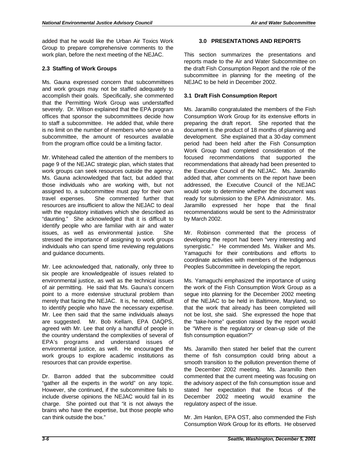added that he would like the Urban Air Toxics Work Group to prepare comprehensive comments to the work plan, before the next meeting of the NEJAC.

## **2.3 Staffing of Work Groups**

 Ms. Gauna expressed concern that subcommittees and work groups may not be staffed adequately to that the Permitting Work Group was understaffed offices that sponsor the subcommittees decide how to staff a subcommittee. He added that, while there is no limit on the number of members who serve on a subcommittee, the amount of resources available accomplish their goals. Specifically, she commented severely. Dr. Wilson explained that the EPA program from the program office could be a limiting factor.

 Mr. Whitehead called the attention of the members to page 9 of the NEJAC strategic plan, which states that work groups can seek resources outside the agency. Ms. Gauna acknowledged that fact, but added that those individuals who are working with, but not assigned to, a subcommittee must pay for their own resources are insufficient to allow the NEJAC to deal with the regulatory initiatives which she described as identify people who are familiar with air and water issues, as well as environmental justice. She stressed the importance of assigning to work groups individuals who can spend time reviewing regulations travel expenses. She commented further that "daunting." She acknowledged that it is difficult to and guidance documents.

 Mr. Lee acknowledged that, nationally, only three to environmental justice, as well as the technical issues of air permitting. He said that Ms. Gauna's concern point to a more extensive structural problem than merely that facing the NEJAC. It is, he noted, difficult environmental justice, as well. He encouraged the work groups to explore academic institutions as six people are knowledgeable of issues related to to identify people who have the necessary expertise. Mr. Lee then said that the same individuals always are suggested. Mr. Bob Kellam, EPA OAQPS, agreed with Mr. Lee that only a handful of people in the country understand the complexities of several of EPA's programs and understand issues of resources that can provide expertise.

 Dr. Barron added that the subcommittee could "gather all the experts in the world" on any topic. However, she continued, if the subcommittee fails to include diverse opinions the NEJAC would fail in its brains who have the expertise, but those people who charge. She pointed out that "it is not always the can think outside the box."

#### **3.0 PRESENTATIONS AND REPORTS**

 the draft Fish Consumption Report and the role of the subcommittee in planning for the meeting of the This section summarizes the presentations and reports made to the Air and Water Subcommittee on NEJAC to be held in December 2002.

#### **3.1 Draft Fish Consumption Report**

 Ms. Jaramillo congratulated the members of the Fish document is the product of 18 months of planning and period had been held after the Fish Consumption Work Group had completed consideration of the recommendations that already had been presented to the Executive Council of the NEJAC. Ms. Jaramillo added that, after comments on the report have been addressed, the Executive Council of the NEJAC ready for submission to the EPA Administrator. Ms. Jaramillo expressed her hope that the final recommendations would be sent to the Administrator Consumption Work Group for its extensive efforts in preparing the draft report. She reported that the development. She explained that a 30-day comment focused recommendations that supported the would vote to determine whether the document was by March 2002.

 developing the report had been "very interesting and Yamaguchi for their contributions and efforts to coordinate activities with members of the Indigenous Mr. Robinson commented that the process of synergistic." He commended Ms. Walker and Ms. Peoples Subcommittee in developing the report.

 the work of the Fish Consumption Work Group as a segue into planning for the December 2002 meeting of the NEJAC to be held in Baltimore, Maryland, so that the work that already has been completed will not be lost, she said. She expressed the hope that the "take-home" question raised by the report would be "Where is the regulatory or clean-up side of the Ms. Yamaguchi emphasized the importance of using fish consumption equation?"

 Ms. Jaramillo then stated her belief that the current theme of fish consumption could bring about a smooth transition to the pollution prevention theme of the advisory aspect of the fish consumption issue and stated her expectation that the focus of the December 2002 meeting would examine the the December 2002 meeting. Ms. Jaramillo then commented that the current meeting was focusing on regulatory aspect of the issue.

 Mr. Jim Hanlon, EPA OST, also commended the Fish Consumption Work Group for its efforts. He observed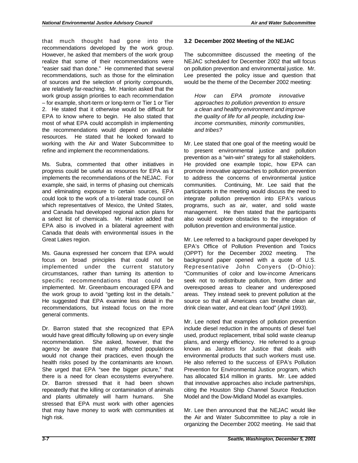recommendations developed by the work group. However, he asked that members of the work group "easier said than done." He commented that several of sources and the selection of priority compounds, are relatively far-reaching. Mr. Hanlon asked that the work group assign priorities to each recommendation – for example, short-term or long-term or Tier 1 or Tier EPA to know where to begin. He also stated that most of what EPA could accomplish in implementing that much thought had gone into the realize that some of their recommendations were recommendations, such as those for the elimination 2. He stated that it otherwise would be difficult for the recommendations would depend on available resources. He stated that he looked forward to working with the Air and Water Subcommittee to refine and implement the recommendations.

 Ms. Subra, commented that other initiatives in progress could be useful as resources for EPA as it implements the recommendations of the NEJAC. For example, she said, in terms of phasing out chemicals and eliminating exposure to certain sources, EPA could look to the work of a tri-lateral trade council on which representatives of Mexico, the United States, and Canada had developed regional action plans for a select list of chemicals. Mr. Hanlon added that EPA also is involved in a bilateral agreement with Canada that deals with environmental issues in the Great Lakes region.

 focus on broad principles that could not be circumstances, rather than turning its attention to the work group to avoid "getting lost in the details." recommendations, but instead focus on the more Ms. Gauna expressed her concern that EPA would implemented under the current statutory specific recommendations that could be implemented. Mr. Greenbaum encouraged EPA and He suggested that EPA examine less detail in the general comments.

 Dr. Barron stated that she recognized that EPA agency be aware that many affected populations would not change their practices, even though the She urged that EPA "see the bigger picture," that there is a need for clean ecosystems everywhere. Dr. Barron stressed that it had been shown and plants ultimately will harm humans. She stressed that EPA must work with other agencies that may have money to work with communities at would have great difficulty following up on every single recommendation. She asked, however, that the health risks posed by the contaminants are known. repeatedly that the killing or contamination of animals high risk.

### **3.2 December 2002 Meeting of the NEJAC**

 NEJAC scheduled for December 2002 that will focus on pollution prevention and environmental justice. Mr. Lee presented the policy issue and question that The subcommittee discussed the meeting of the would be the theme of the December 2002 meeting:

 *approaches to pollution prevention to ensure a clean and healthy environment and improve How can EPA promote innovative the quality of life for all people, including lowincome communities, minority communities, and tribes?* 

 Mr. Lee stated that one goal of the meeting would be prevention as a "win-win" strategy for all stakeholders. He provided one example topic, how EPA can promote innovative approaches to pollution prevention participants in the meeting would discuss the need to integrate pollution prevention into EPA's various also would explore obstacles to the integration of to present environmental justice and pollution to address the concerns of environmental justice communities. Continuing, Mr. Lee said that the programs, such as air, water, and solid waste management. He then stated that the participants pollution prevention and environmental justice.

 Mr. Lee referred to a background paper developed by EPA's Office of Pollution Prevention and Toxics (OPPT) for the December 2002 meeting. The overexposed areas to cleaner and underexposed background paper opened with a quote of U.S. Representative John Conyers (D-Ohio): "Communities of color and low-income Americans seek not to redistribute pollution, from dirtier and areas. They instead seek to prevent pollution at the source so that all Americans can breathe clean air, drink clean water, and eat clean food" (April 1993).

 Mr. Lee noted that examples of pollution prevention include diesel reduction in the amounts of diesel fuel known as Janitors for Justice that deals with environmental products that such workers must use. He also referred to the success of EPA's Pollution Prevention for Environmental Justice program, which has allocated \$14 million in grants. Mr. Lee added that innovative approaches also include partnerships, citing the Houston Ship Channel Source Reduction used, product replacement, tribal solid waste cleanup plans, and energy efficiency. He referred to a group Model and the Dow-Midland Model as examples.

 Mr. Lee then announced that the NEJAC would like the Air and Water Subcommittee to play a role in organizing the December 2002 meeting. He said that